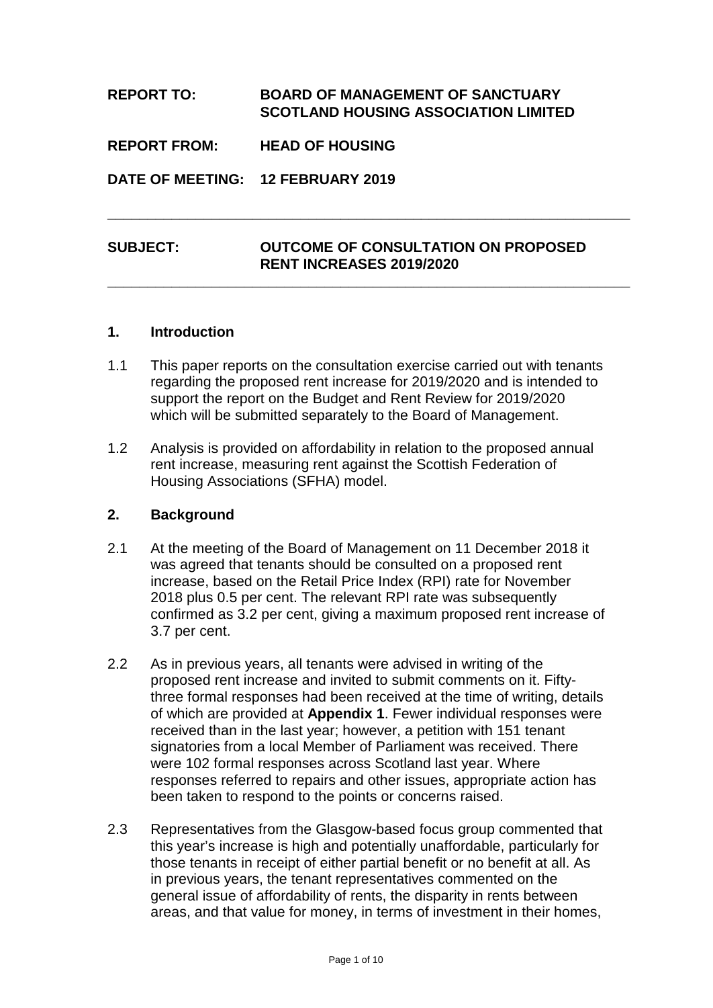# **REPORT TO: BOARD OF MANAGEMENT OF SANCTUARY SCOTLAND HOUSING ASSOCIATION LIMITED REPORT FROM: HEAD OF HOUSING DATE OF MEETING: 12 FEBRUARY 2019 \_\_\_\_\_\_\_\_\_\_\_\_\_\_\_\_\_\_\_\_\_\_\_\_\_\_\_\_\_\_\_\_\_\_\_\_\_\_\_\_\_\_\_\_\_\_\_\_\_\_\_\_\_\_\_\_\_\_\_\_\_\_\_\_\_**

# **SUBJECT: OUTCOME OF CONSULTATION ON PROPOSED RENT INCREASES 2019/2020**

**\_\_\_\_\_\_\_\_\_\_\_\_\_\_\_\_\_\_\_\_\_\_\_\_\_\_\_\_\_\_\_\_\_\_\_\_\_\_\_\_\_\_\_\_\_\_\_\_\_\_\_\_\_\_\_\_\_\_\_\_\_\_\_\_\_**

### **1. Introduction**

- 1.1 This paper reports on the consultation exercise carried out with tenants regarding the proposed rent increase for 2019/2020 and is intended to support the report on the Budget and Rent Review for 2019/2020 which will be submitted separately to the Board of Management.
- 1.2 Analysis is provided on affordability in relation to the proposed annual rent increase, measuring rent against the Scottish Federation of Housing Associations (SFHA) model.

#### **2. Background**

- 2.1 At the meeting of the Board of Management on 11 December 2018 it was agreed that tenants should be consulted on a proposed rent increase, based on the Retail Price Index (RPI) rate for November 2018 plus 0.5 per cent. The relevant RPI rate was subsequently confirmed as 3.2 per cent, giving a maximum proposed rent increase of 3.7 per cent.
- 2.2 As in previous years, all tenants were advised in writing of the proposed rent increase and invited to submit comments on it. Fiftythree formal responses had been received at the time of writing, details of which are provided at **Appendix 1**. Fewer individual responses were received than in the last year; however, a petition with 151 tenant signatories from a local Member of Parliament was received. There were 102 formal responses across Scotland last year. Where responses referred to repairs and other issues, appropriate action has been taken to respond to the points or concerns raised.
- 2.3 Representatives from the Glasgow-based focus group commented that this year's increase is high and potentially unaffordable, particularly for those tenants in receipt of either partial benefit or no benefit at all. As in previous years, the tenant representatives commented on the general issue of affordability of rents, the disparity in rents between areas, and that value for money, in terms of investment in their homes,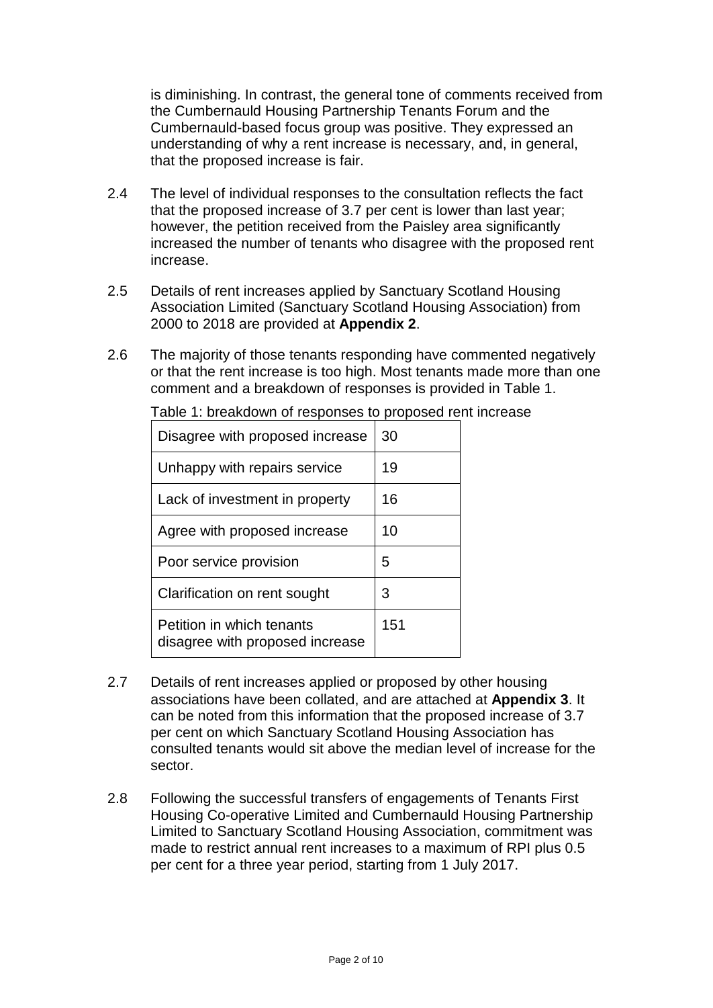is diminishing. In contrast, the general tone of comments received from the Cumbernauld Housing Partnership Tenants Forum and the Cumbernauld-based focus group was positive. They expressed an understanding of why a rent increase is necessary, and, in general, that the proposed increase is fair.

- 2.4 The level of individual responses to the consultation reflects the fact that the proposed increase of 3.7 per cent is lower than last year; however, the petition received from the Paisley area significantly increased the number of tenants who disagree with the proposed rent increase.
- 2.5 Details of rent increases applied by Sanctuary Scotland Housing Association Limited (Sanctuary Scotland Housing Association) from 2000 to 2018 are provided at **Appendix 2**.
- 2.6 The majority of those tenants responding have commented negatively or that the rent increase is too high. Most tenants made more than one comment and a breakdown of responses is provided in Table 1.

| Disagree with proposed increase                              | 30  |
|--------------------------------------------------------------|-----|
| Unhappy with repairs service                                 | 19  |
| Lack of investment in property                               | 16  |
| Agree with proposed increase                                 | 10  |
| Poor service provision                                       | 5   |
| Clarification on rent sought                                 | 3   |
| Petition in which tenants<br>disagree with proposed increase | 151 |

Table 1: breakdown of responses to proposed rent increase

- 2.7 Details of rent increases applied or proposed by other housing associations have been collated, and are attached at **Appendix 3**. It can be noted from this information that the proposed increase of 3.7 per cent on which Sanctuary Scotland Housing Association has consulted tenants would sit above the median level of increase for the sector.
- 2.8 Following the successful transfers of engagements of Tenants First Housing Co-operative Limited and Cumbernauld Housing Partnership Limited to Sanctuary Scotland Housing Association, commitment was made to restrict annual rent increases to a maximum of RPI plus 0.5 per cent for a three year period, starting from 1 July 2017.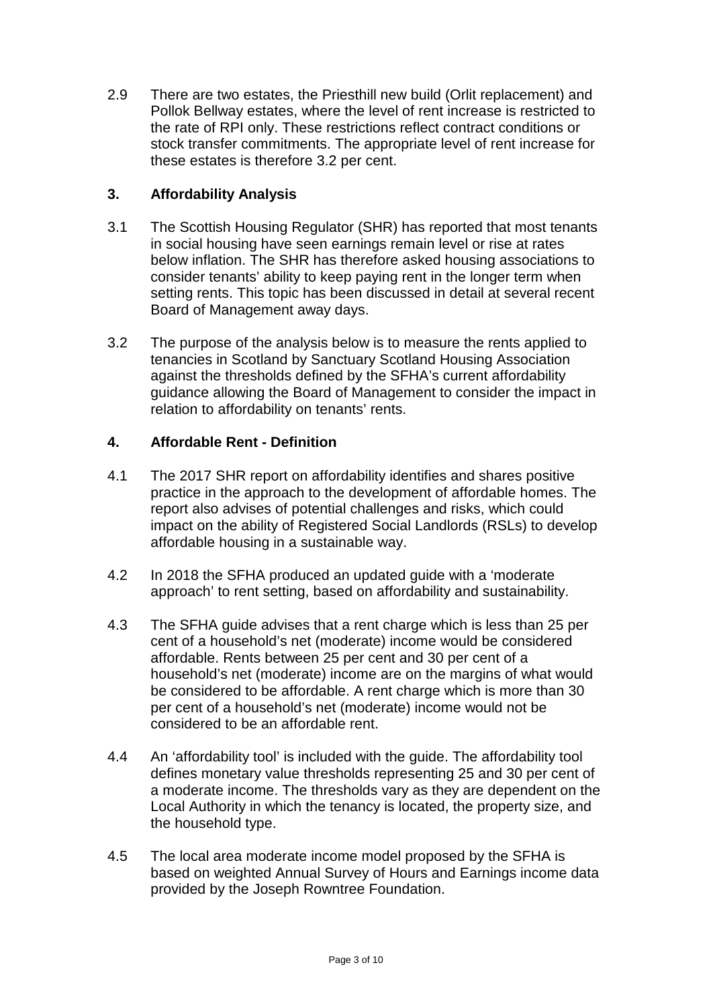2.9 There are two estates, the Priesthill new build (Orlit replacement) and Pollok Bellway estates, where the level of rent increase is restricted to the rate of RPI only. These restrictions reflect contract conditions or stock transfer commitments. The appropriate level of rent increase for these estates is therefore 3.2 per cent.

# **3. Affordability Analysis**

- 3.1 The Scottish Housing Regulator (SHR) has reported that most tenants in social housing have seen earnings remain level or rise at rates below inflation. The SHR has therefore asked housing associations to consider tenants' ability to keep paying rent in the longer term when setting rents. This topic has been discussed in detail at several recent Board of Management away days.
- 3.2 The purpose of the analysis below is to measure the rents applied to tenancies in Scotland by Sanctuary Scotland Housing Association against the thresholds defined by the SFHA's current affordability guidance allowing the Board of Management to consider the impact in relation to affordability on tenants' rents.

# **4. Affordable Rent - Definition**

- 4.1 The 2017 SHR report on affordability identifies and shares positive practice in the approach to the development of affordable homes. The report also advises of potential challenges and risks, which could impact on the ability of Registered Social Landlords (RSLs) to develop affordable housing in a sustainable way.
- 4.2 In 2018 the SFHA produced an updated guide with a 'moderate approach' to rent setting, based on affordability and sustainability.
- 4.3 The SFHA guide advises that a rent charge which is less than 25 per cent of a household's net (moderate) income would be considered affordable. Rents between 25 per cent and 30 per cent of a household's net (moderate) income are on the margins of what would be considered to be affordable. A rent charge which is more than 30 per cent of a household's net (moderate) income would not be considered to be an affordable rent.
- 4.4 An 'affordability tool' is included with the guide. The affordability tool defines monetary value thresholds representing 25 and 30 per cent of a moderate income. The thresholds vary as they are dependent on the Local Authority in which the tenancy is located, the property size, and the household type.
- 4.5 The local area moderate income model proposed by the SFHA is based on weighted Annual Survey of Hours and Earnings income data provided by the Joseph Rowntree Foundation.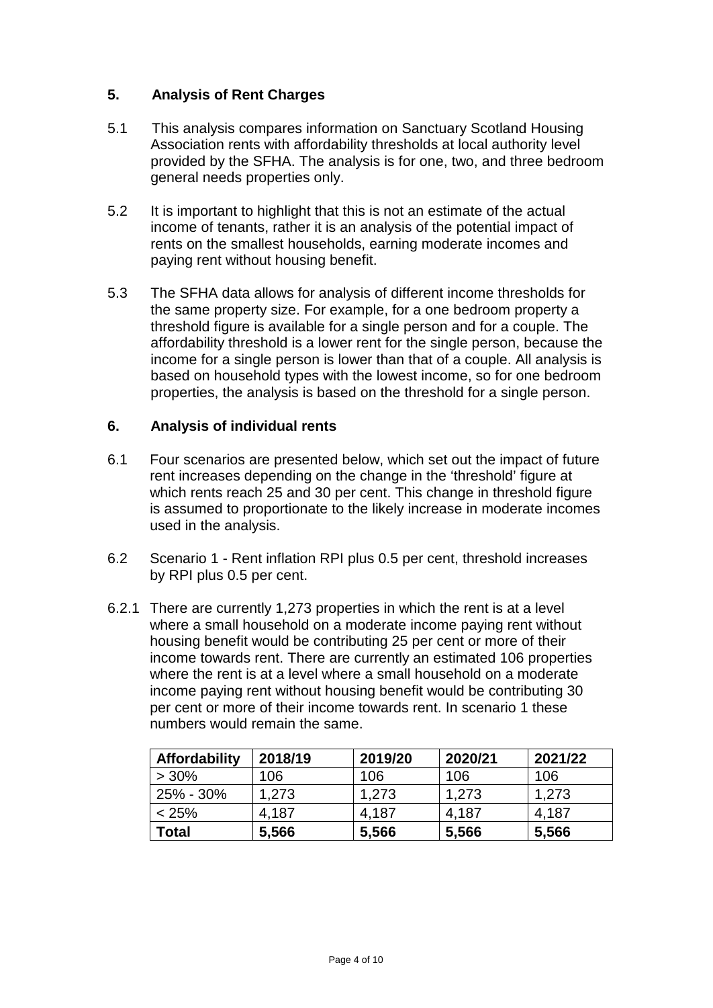## **5. Analysis of Rent Charges**

- 5.1 This analysis compares information on Sanctuary Scotland Housing Association rents with affordability thresholds at local authority level provided by the SFHA. The analysis is for one, two, and three bedroom general needs properties only.
- 5.2 It is important to highlight that this is not an estimate of the actual income of tenants, rather it is an analysis of the potential impact of rents on the smallest households, earning moderate incomes and paying rent without housing benefit.
- 5.3 The SFHA data allows for analysis of different income thresholds for the same property size. For example, for a one bedroom property a threshold figure is available for a single person and for a couple. The affordability threshold is a lower rent for the single person, because the income for a single person is lower than that of a couple. All analysis is based on household types with the lowest income, so for one bedroom properties, the analysis is based on the threshold for a single person.

### **6. Analysis of individual rents**

- 6.1 Four scenarios are presented below, which set out the impact of future rent increases depending on the change in the 'threshold' figure at which rents reach 25 and 30 per cent. This change in threshold figure is assumed to proportionate to the likely increase in moderate incomes used in the analysis.
- 6.2 Scenario 1 Rent inflation RPI plus 0.5 per cent, threshold increases by RPI plus 0.5 per cent.
- 6.2.1 There are currently 1,273 properties in which the rent is at a level where a small household on a moderate income paying rent without housing benefit would be contributing 25 per cent or more of their income towards rent. There are currently an estimated 106 properties where the rent is at a level where a small household on a moderate income paying rent without housing benefit would be contributing 30 per cent or more of their income towards rent. In scenario 1 these numbers would remain the same.

| <b>Affordability</b> | 2018/19 | 2019/20 | 2020/21 | 2021/22 |
|----------------------|---------|---------|---------|---------|
| $>30\%$              | 106     | 106     | 106     | 106     |
| 25% - 30%            | 1,273   | 1,273   | 1,273   | 1,273   |
| $< 25\%$             | 4,187   | 4,187   | 4,187   | 4,187   |
| Total                | 5,566   | 5,566   | 5,566   | 5,566   |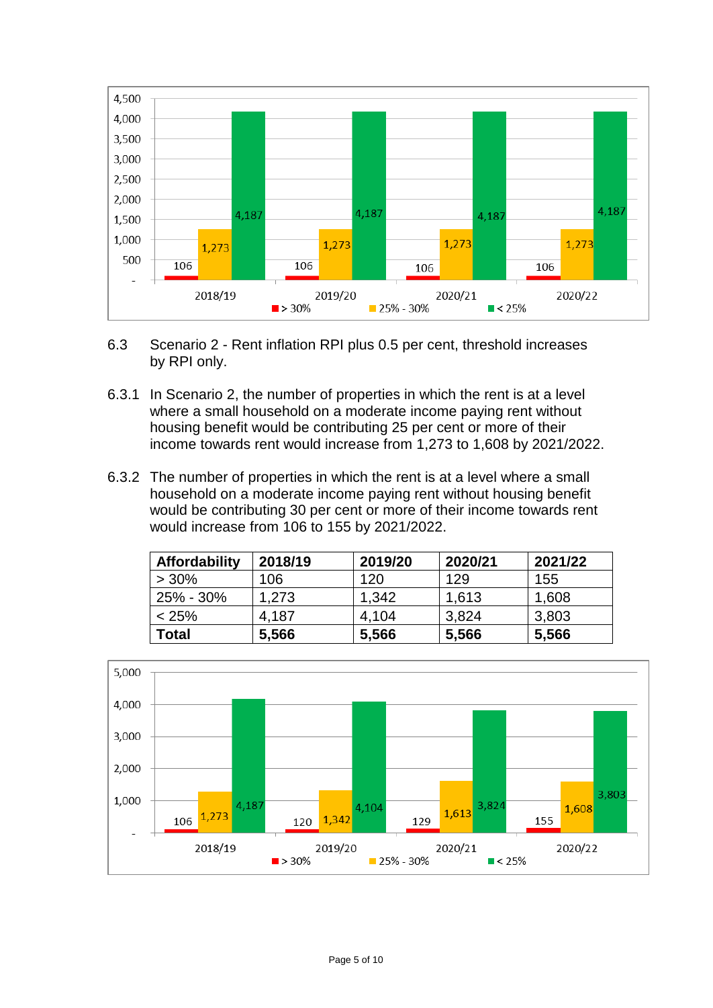

- 6.3 Scenario 2 Rent inflation RPI plus 0.5 per cent, threshold increases by RPI only.
- 6.3.1 In Scenario 2, the number of properties in which the rent is at a level where a small household on a moderate income paying rent without housing benefit would be contributing 25 per cent or more of their income towards rent would increase from 1,273 to 1,608 by 2021/2022.
- 6.3.2 The number of properties in which the rent is at a level where a small household on a moderate income paying rent without housing benefit would be contributing 30 per cent or more of their income towards rent would increase from 106 to 155 by 2021/2022.

| <b>Affordability</b> | 2018/19 | 2019/20 | 2020/21 | 2021/22 |
|----------------------|---------|---------|---------|---------|
| $> 30\%$             | 106     | 120     | 129     | 155     |
| $25\% - 30\%$        | 1,273   | 1.342   | 1,613   | 1,608   |
| $< 25\%$             | 4.187   | 4,104   | 3,824   | 3,803   |
| Total                | 5,566   | 5,566   | 5,566   | 5,566   |

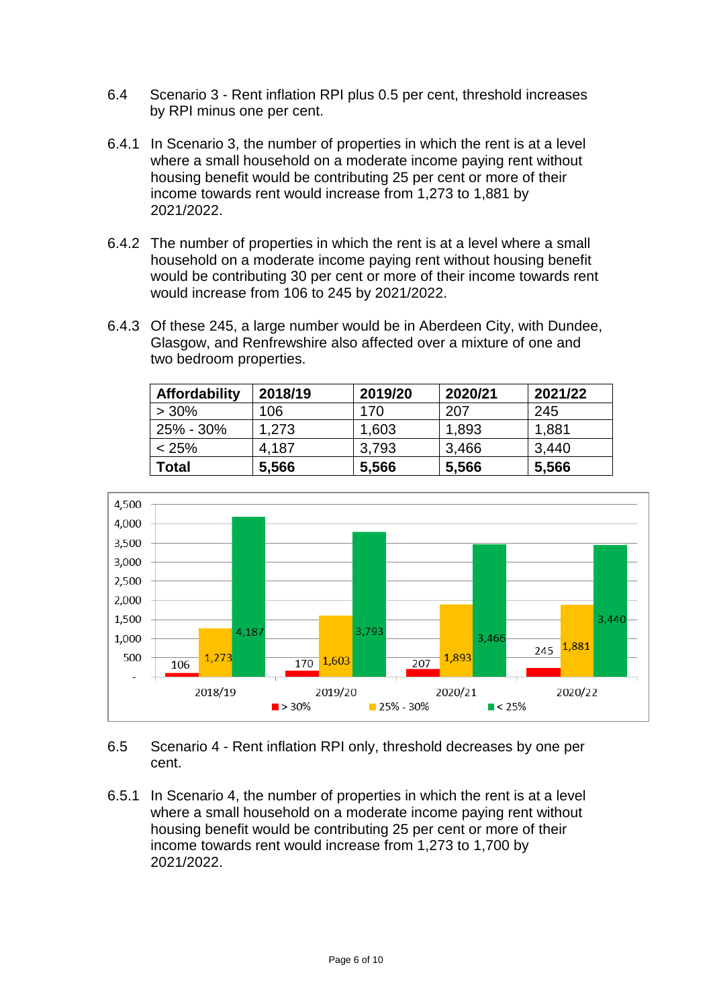- 6.4 Scenario 3 Rent inflation RPI plus 0.5 per cent, threshold increases by RPI minus one per cent.
- 6.4.1 In Scenario 3, the number of properties in which the rent is at a level where a small household on a moderate income paying rent without housing benefit would be contributing 25 per cent or more of their income towards rent would increase from 1,273 to 1,881 by 2021/2022.
- 6.4.2 The number of properties in which the rent is at a level where a small household on a moderate income paying rent without housing benefit would be contributing 30 per cent or more of their income towards rent would increase from 106 to 245 by 2021/2022.
- 6.4.3 Of these 245, a large number would be in Aberdeen City, with Dundee, Glasgow, and Renfrewshire also affected over a mixture of one and two bedroom properties.

| <b>Affordability</b> | 2018/19 | 2019/20 | 2020/21 | 2021/22 |
|----------------------|---------|---------|---------|---------|
| $>30\%$              | 106     | 170     | 207     | 245     |
| 25% - 30%            | 1,273   | 1,603   | 1,893   | 1,881   |
| < 25%                | 4,187   | 3,793   | 3,466   | 3,440   |
| Total                | 5,566   | 5,566   | 5,566   | 5,566   |



6.5 Scenario 4 - Rent inflation RPI only, threshold decreases by one per cent.

6.5.1 In Scenario 4, the number of properties in which the rent is at a level where a small household on a moderate income paying rent without housing benefit would be contributing 25 per cent or more of their income towards rent would increase from 1,273 to 1,700 by 2021/2022.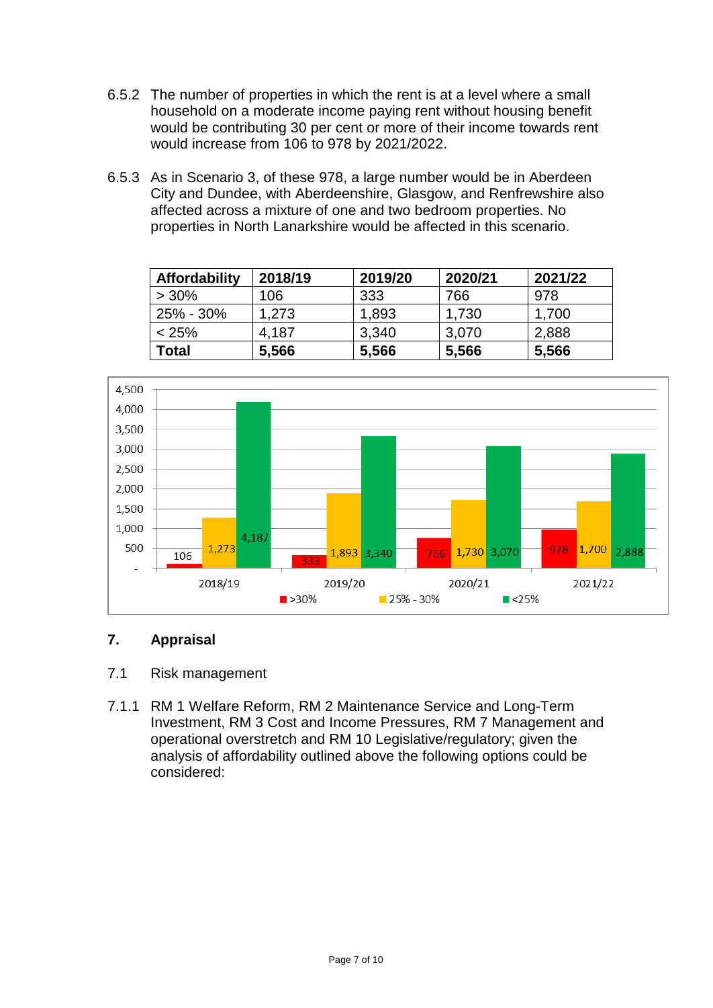- 6.5.2 The number of properties in which the rent is at a level where a small household on a moderate income paying rent without housing benefit would be contributing 30 per cent or more of their income towards rent would increase from 106 to 978 by 2021/2022.
- 6.5.3 As in Scenario 3, of these 978, a large number would be in Aberdeen City and Dundee, with Aberdeenshire, Glasgow, and Renfrewshire also affected across a mixture of one and two bedroom properties. No properties in North Lanarkshire would be affected in this scenario.

| <b>Affordability</b> | 2018/19 | 2019/20 | 2020/21 | 2021/22 |
|----------------------|---------|---------|---------|---------|
| $>30\%$              | 106     | 333     | 766     | 978     |
| 25% - 30%            | 1.273   | 1,893   | 1,730   | 1,700   |
| < 25%                | 4.187   | 3,340   | 3,070   | 2,888   |
| Total                | 5,566   | 5,566   | 5,566   | 5,566   |



## **7. Appraisal**

- 7.1 Risk management
- 7.1.1 RM 1 Welfare Reform, RM 2 Maintenance Service and Long-Term Investment, RM 3 Cost and Income Pressures, RM 7 Management and operational overstretch and RM 10 Legislative/regulatory; given the analysis of affordability outlined above the following options could be considered: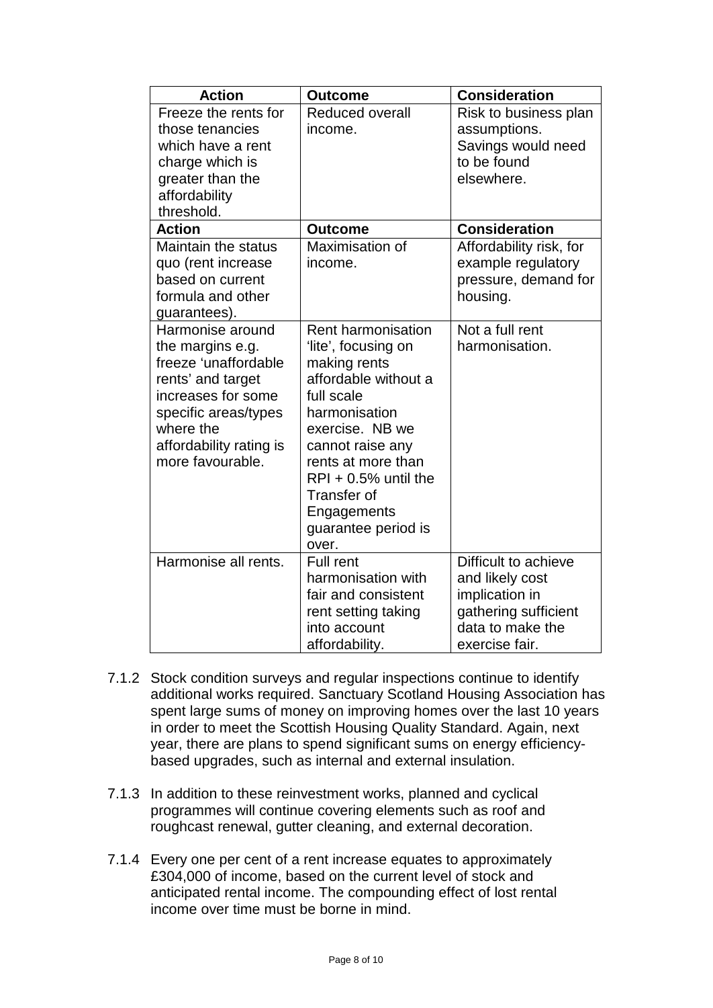| <b>Action</b>                                                                                                                                                                               | <b>Outcome</b>                                                                                                                                                                                                                                                        | <b>Consideration</b>                                                                                                    |
|---------------------------------------------------------------------------------------------------------------------------------------------------------------------------------------------|-----------------------------------------------------------------------------------------------------------------------------------------------------------------------------------------------------------------------------------------------------------------------|-------------------------------------------------------------------------------------------------------------------------|
| Freeze the rents for<br>those tenancies<br>which have a rent<br>charge which is<br>greater than the<br>affordability<br>threshold.                                                          | <b>Reduced overall</b><br>income.                                                                                                                                                                                                                                     | Risk to business plan<br>assumptions.<br>Savings would need<br>to be found<br>elsewhere.                                |
| <b>Action</b>                                                                                                                                                                               | <b>Outcome</b>                                                                                                                                                                                                                                                        | <b>Consideration</b>                                                                                                    |
| Maintain the status<br>quo (rent increase<br>based on current<br>formula and other<br>guarantees).                                                                                          | Maximisation of<br>income.                                                                                                                                                                                                                                            | Affordability risk, for<br>example regulatory<br>pressure, demand for<br>housing.                                       |
| Harmonise around<br>the margins e.g.<br>freeze 'unaffordable<br>rents' and target<br>increases for some<br>specific areas/types<br>where the<br>affordability rating is<br>more favourable. | Rent harmonisation<br>'lite', focusing on<br>making rents<br>affordable without a<br>full scale<br>harmonisation<br>exercise. NB we<br>cannot raise any<br>rents at more than<br>$RPI + 0.5%$ until the<br>Transfer of<br>Engagements<br>guarantee period is<br>over. | Not a full rent<br>harmonisation.                                                                                       |
| Harmonise all rents.                                                                                                                                                                        | <b>Full rent</b><br>harmonisation with<br>fair and consistent<br>rent setting taking<br>into account<br>affordability.                                                                                                                                                | Difficult to achieve<br>and likely cost<br>implication in<br>gathering sufficient<br>data to make the<br>exercise fair. |

- 7.1.2 Stock condition surveys and regular inspections continue to identify additional works required. Sanctuary Scotland Housing Association has spent large sums of money on improving homes over the last 10 years in order to meet the Scottish Housing Quality Standard. Again, next year, there are plans to spend significant sums on energy efficiencybased upgrades, such as internal and external insulation.
- 7.1.3 In addition to these reinvestment works, planned and cyclical programmes will continue covering elements such as roof and roughcast renewal, gutter cleaning, and external decoration.
- 7.1.4 Every one per cent of a rent increase equates to approximately £304,000 of income, based on the current level of stock and anticipated rental income. The compounding effect of lost rental income over time must be borne in mind.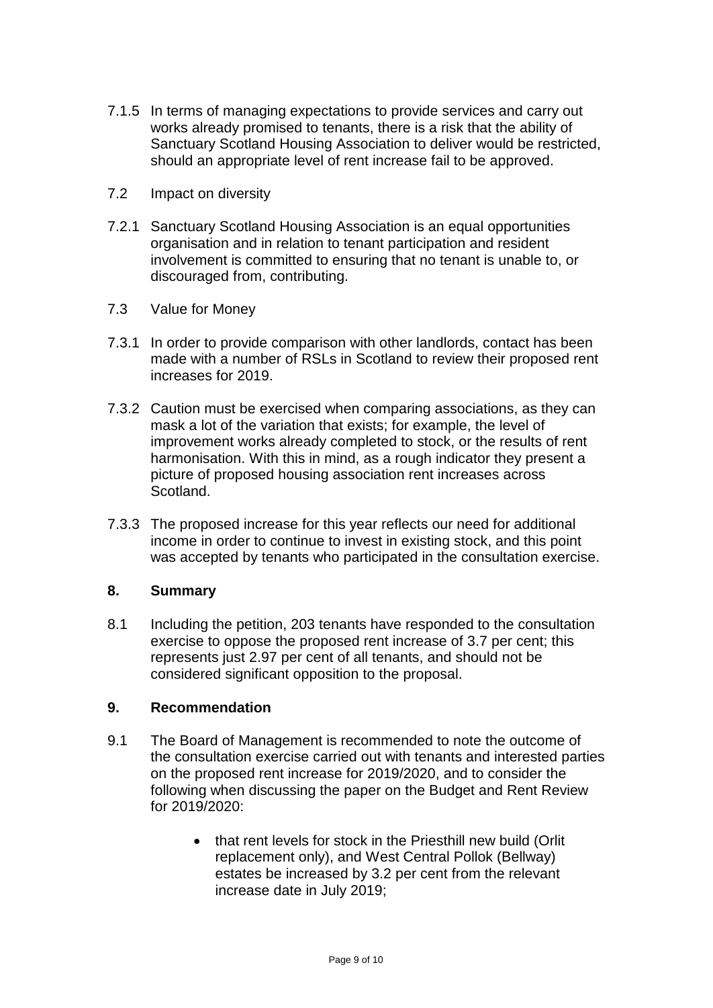- 7.1.5 In terms of managing expectations to provide services and carry out works already promised to tenants, there is a risk that the ability of Sanctuary Scotland Housing Association to deliver would be restricted, should an appropriate level of rent increase fail to be approved.
- 7.2 Impact on diversity
- 7.2.1 Sanctuary Scotland Housing Association is an equal opportunities organisation and in relation to tenant participation and resident involvement is committed to ensuring that no tenant is unable to, or discouraged from, contributing.
- 7.3 Value for Money
- 7.3.1 In order to provide comparison with other landlords, contact has been made with a number of RSLs in Scotland to review their proposed rent increases for 2019.
- 7.3.2 Caution must be exercised when comparing associations, as they can mask a lot of the variation that exists; for example, the level of improvement works already completed to stock, or the results of rent harmonisation. With this in mind, as a rough indicator they present a picture of proposed housing association rent increases across Scotland.
- 7.3.3 The proposed increase for this year reflects our need for additional income in order to continue to invest in existing stock, and this point was accepted by tenants who participated in the consultation exercise.

#### **8. Summary**

8.1 Including the petition, 203 tenants have responded to the consultation exercise to oppose the proposed rent increase of 3.7 per cent; this represents just 2.97 per cent of all tenants, and should not be considered significant opposition to the proposal.

#### **9. Recommendation**

- 9.1 The Board of Management is recommended to note the outcome of the consultation exercise carried out with tenants and interested parties on the proposed rent increase for 2019/2020, and to consider the following when discussing the paper on the Budget and Rent Review for 2019/2020:
	- that rent levels for stock in the Priesthill new build (Orlit replacement only), and West Central Pollok (Bellway) estates be increased by 3.2 per cent from the relevant increase date in July 2019;